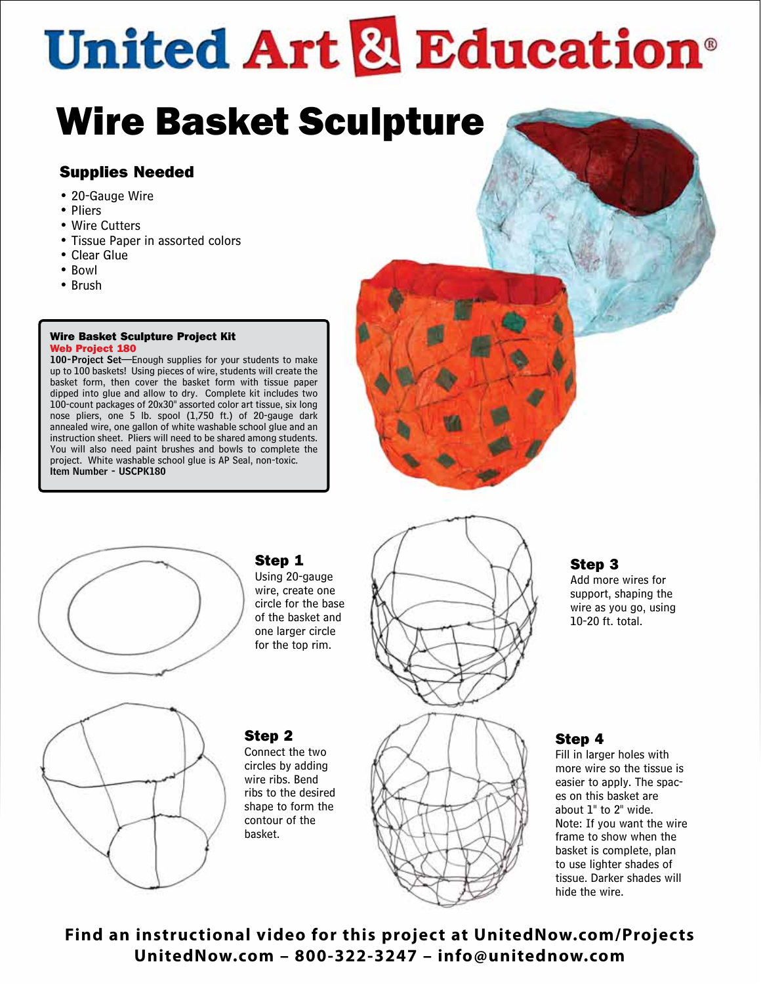## **United Art & Education**®

## Wire Basket Sculpture

## Supplies Needed

- 20-Gauge Wire
- Pliers
- Wire Cutters
- Tissue Paper in assorted colors
- Clear Glue
- Bowl
- Brush

#### Wire Basket Sculpture Project Kit Web Project 180

100-Project Set—Enough supplies for your students to make up to 100 baskets! Using pieces of wire, students will create the basket form, then cover the basket form with tissue paper dipped into glue and allow to dry. Complete kit includes two 100-count packages of 20x30" assorted color art tissue, six long nose pliers, one 5 lb. spool (1,750 ft.) of 20-gauge dark annealed wire, one gallon of white washable school glue and an instruction sheet. Pliers will need to be shared among students. You will also need paint brushes and bowls to complete the project. White washable school glue is AP Seal, non-toxic. Item Number - USCPK180





## Step 1

Using 20-gauge wire, create one circle for the base of the basket and one larger circle for the top rim.



## Step 3

Add more wires for support, shaping the wire as you go, using 10-20 ft. total.



## Step 2

Connect the two circles by adding wire ribs. Bend ribs to the desired shape to form the contour of the basket.



## Step 4

Fill in larger holes with more wire so the tissue is easier to apply. The spaces on this basket are about 1" to 2" wide. Note: If you want the wire frame to show when the basket is complete, plan to use lighter shades of tissue. Darker shades will hide the wire.

**Find an instructional video for this project at UnitedNow.com/Projects UnitedNow.com – 800-322-3247 – info@unitednow.com**